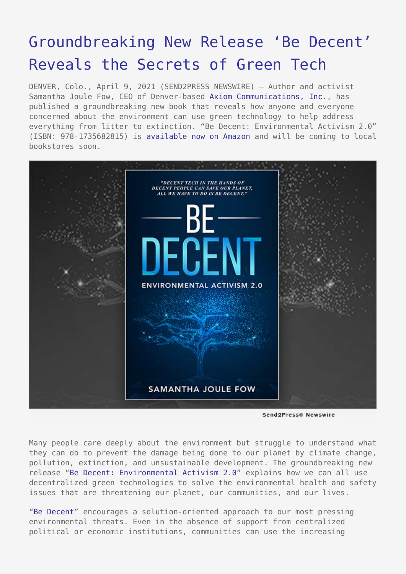## [Groundbreaking New Release 'Be Decent'](https://www.send2press.com/wire/groundbreaking-new-release-be-decent-reveals-the-secrets-of-green-tech/) [Reveals the Secrets of Green Tech](https://www.send2press.com/wire/groundbreaking-new-release-be-decent-reveals-the-secrets-of-green-tech/)

DENVER, Colo., April 9, 2021 (SEND2PRESS NEWSWIRE) – Author and activist Samantha Joule Fow, CEO of Denver-based [Axiom Communications, Inc.,](http://axiom-communications.com/) has published a groundbreaking new book that reveals how anyone and everyone concerned about the environment can use green technology to help address everything from litter to extinction. "Be Decent: Environmental Activism 2.0" (ISBN: 978-1735682815) is [available now on Amazon](https://www.amazon.com/dp/1735682810) and will be coming to local bookstores soon.



Send2Press® Newswire

Many people care deeply about the environment but struggle to understand what they can do to prevent the damage being done to our planet by climate change, pollution, extinction, and unsustainable development. The groundbreaking new release ["Be Decent: Environmental Activism 2.0](http://bedecentbook.com/)" explains how we can all use decentralized green technologies to solve the environmental health and safety issues that are threatening our planet, our communities, and our lives.

["Be Decent"](http://bedecentbook.com/) encourages a solution-oriented approach to our most pressing environmental threats. Even in the absence of support from centralized political or economic institutions, communities can use the increasing